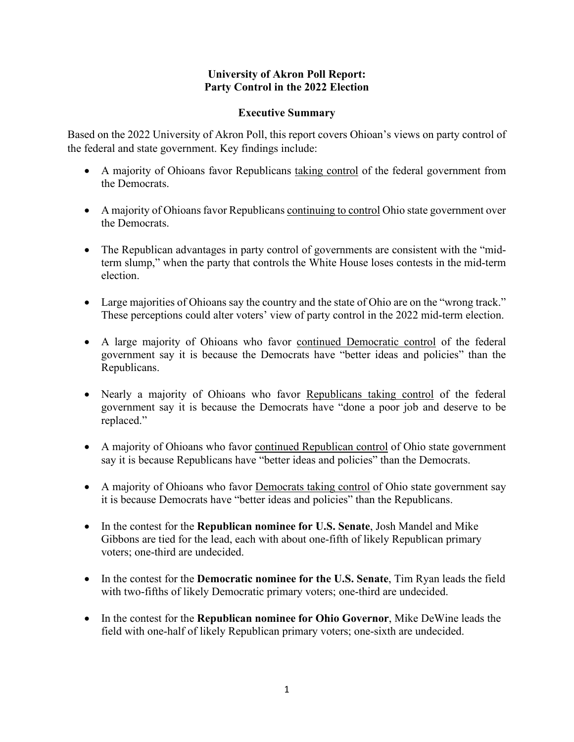### **University of Akron Poll Report: Party Control in the 2022 Election**

#### **Executive Summary**

Based on the 2022 University of Akron Poll, this report covers Ohioan's views on party control of the federal and state government. Key findings include:

- A majority of Ohioans favor Republicans taking control of the federal government from the Democrats.
- A majority of Ohioans favor Republicans continuing to control Ohio state government over the Democrats.
- The Republican advantages in party control of governments are consistent with the "midterm slump," when the party that controls the White House loses contests in the mid-term election.
- Large majorities of Ohioans say the country and the state of Ohio are on the "wrong track." These perceptions could alter voters' view of party control in the 2022 mid-term election.
- A large majority of Ohioans who favor continued Democratic control of the federal government say it is because the Democrats have "better ideas and policies" than the Republicans.
- Nearly a majority of Ohioans who favor Republicans taking control of the federal government say it is because the Democrats have "done a poor job and deserve to be replaced."
- A majority of Ohioans who favor continued Republican control of Ohio state government say it is because Republicans have "better ideas and policies" than the Democrats.
- A majority of Ohioans who favor Democrats taking control of Ohio state government say it is because Democrats have "better ideas and policies" than the Republicans.
- In the contest for the **Republican nominee for U.S. Senate**, Josh Mandel and Mike Gibbons are tied for the lead, each with about one-fifth of likely Republican primary voters; one-third are undecided.
- In the contest for the **Democratic nominee for the U.S. Senate**, Tim Ryan leads the field with two-fifths of likely Democratic primary voters; one-third are undecided.
- In the contest for the **Republican nominee for Ohio Governor**, Mike DeWine leads the field with one-half of likely Republican primary voters; one-sixth are undecided.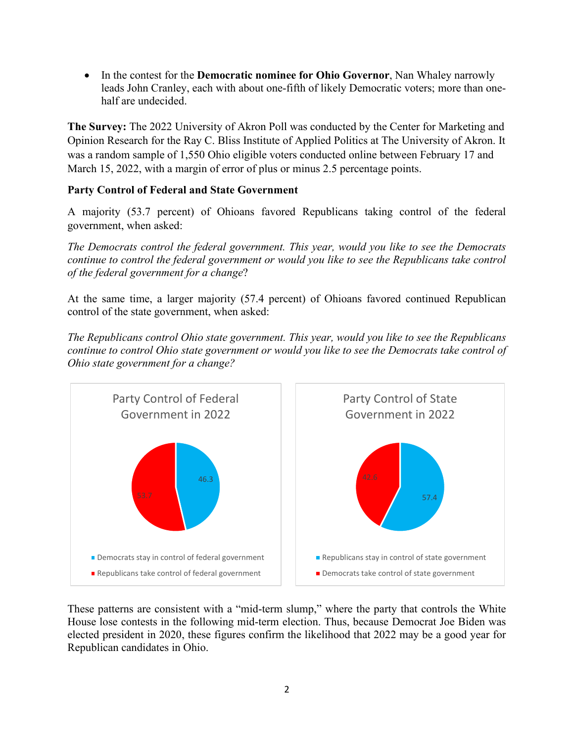• In the contest for the **Democratic nominee for Ohio Governor**, Nan Whaley narrowly leads John Cranley, each with about one-fifth of likely Democratic voters; more than onehalf are undecided.

**The Survey:** The 2022 University of Akron Poll was conducted by the Center for Marketing and Opinion Research for the Ray C. Bliss Institute of Applied Politics at The University of Akron. It was a random sample of 1,550 Ohio eligible voters conducted online between February 17 and March 15, 2022, with a margin of error of plus or minus 2.5 percentage points.

# **Party Control of Federal and State Government**

A majority (53.7 percent) of Ohioans favored Republicans taking control of the federal government, when asked:

*The Democrats control the federal government. This year, would you like to see the Democrats continue to control the federal government or would you like to see the Republicans take control of the federal government for a change*?

At the same time, a larger majority (57.4 percent) of Ohioans favored continued Republican control of the state government, when asked:

*The Republicans control Ohio state government. This year, would you like to see the Republicans continue to control Ohio state government or would you like to see the Democrats take control of Ohio state government for a change?*



These patterns are consistent with a "mid-term slump," where the party that controls the White House lose contests in the following mid-term election. Thus, because Democrat Joe Biden was elected president in 2020, these figures confirm the likelihood that 2022 may be a good year for Republican candidates in Ohio.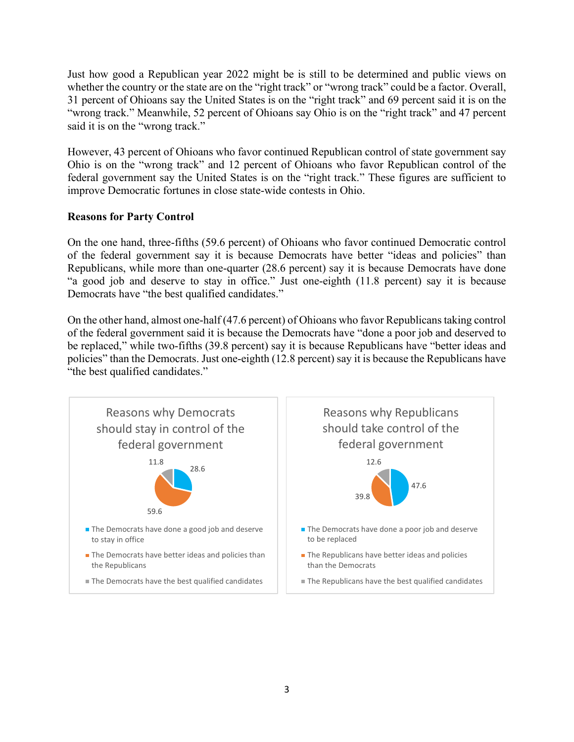Just how good a Republican year 2022 might be is still to be determined and public views on whether the country or the state are on the "right track" or "wrong track" could be a factor. Overall, 31 percent of Ohioans say the United States is on the "right track" and 69 percent said it is on the "wrong track." Meanwhile, 52 percent of Ohioans say Ohio is on the "right track" and 47 percent said it is on the "wrong track."

However, 43 percent of Ohioans who favor continued Republican control of state government say Ohio is on the "wrong track" and 12 percent of Ohioans who favor Republican control of the federal government say the United States is on the "right track." These figures are sufficient to improve Democratic fortunes in close state-wide contests in Ohio.

## **Reasons for Party Control**

On the one hand, three-fifths (59.6 percent) of Ohioans who favor continued Democratic control of the federal government say it is because Democrats have better "ideas and policies" than Republicans, while more than one-quarter (28.6 percent) say it is because Democrats have done "a good job and deserve to stay in office." Just one-eighth (11.8 percent) say it is because Democrats have "the best qualified candidates."

On the other hand, almost one-half (47.6 percent) of Ohioans who favor Republicans taking control of the federal government said it is because the Democrats have "done a poor job and deserved to be replaced," while two-fifths (39.8 percent) say it is because Republicans have "better ideas and policies" than the Democrats. Just one-eighth (12.8 percent) say it is because the Republicans have "the best qualified candidates."

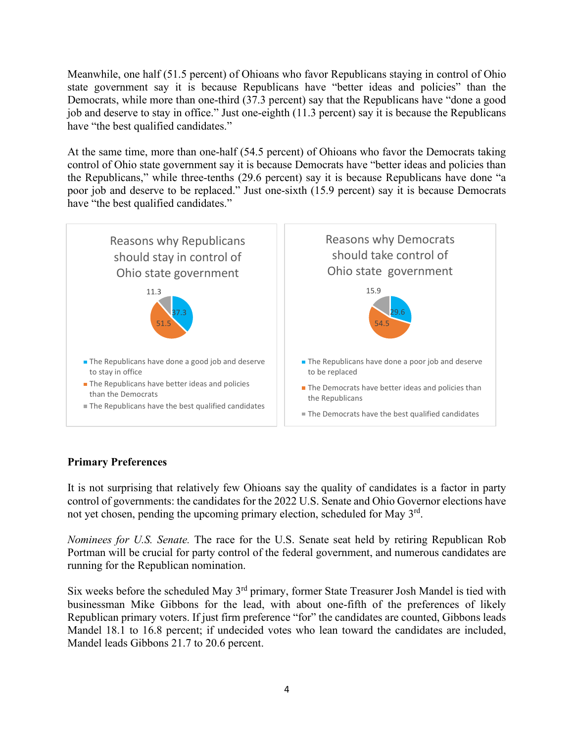Meanwhile, one half (51.5 percent) of Ohioans who favor Republicans staying in control of Ohio state government say it is because Republicans have "better ideas and policies" than the Democrats, while more than one-third (37.3 percent) say that the Republicans have "done a good job and deserve to stay in office." Just one-eighth (11.3 percent) say it is because the Republicans have "the best qualified candidates."

At the same time, more than one-half (54.5 percent) of Ohioans who favor the Democrats taking control of Ohio state government say it is because Democrats have "better ideas and policies than the Republicans," while three-tenths (29.6 percent) say it is because Republicans have done "a poor job and deserve to be replaced." Just one-sixth (15.9 percent) say it is because Democrats have "the best qualified candidates."



## **Primary Preferences**

It is not surprising that relatively few Ohioans say the quality of candidates is a factor in party control of governments: the candidates for the 2022 U.S. Senate and Ohio Governor elections have not yet chosen, pending the upcoming primary election, scheduled for May  $3<sup>rd</sup>$ .

*Nominees for U.S. Senate.* The race for the U.S. Senate seat held by retiring Republican Rob Portman will be crucial for party control of the federal government, and numerous candidates are running for the Republican nomination.

Six weeks before the scheduled May  $3<sup>rd</sup>$  primary, former State Treasurer Josh Mandel is tied with businessman Mike Gibbons for the lead, with about one-fifth of the preferences of likely Republican primary voters. If just firm preference "for" the candidates are counted, Gibbons leads Mandel 18.1 to 16.8 percent; if undecided votes who lean toward the candidates are included, Mandel leads Gibbons 21.7 to 20.6 percent.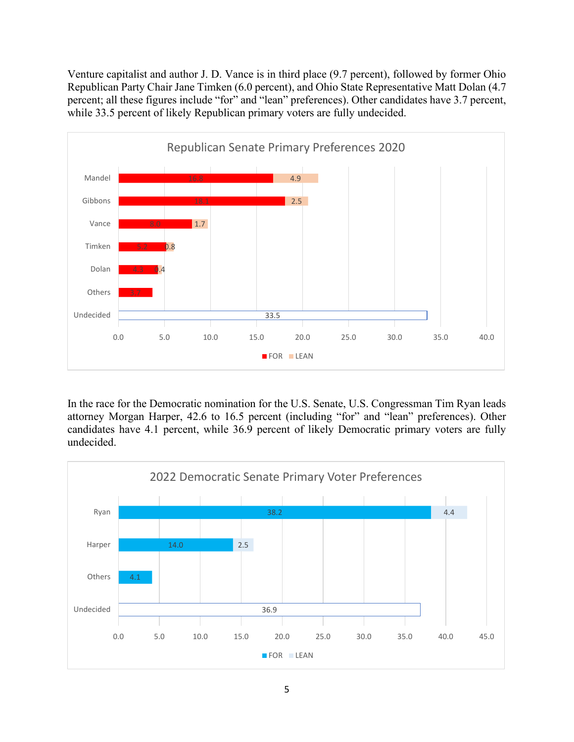Venture capitalist and author J. D. Vance is in third place (9.7 percent), followed by former Ohio Republican Party Chair Jane Timken (6.0 percent), and Ohio State Representative Matt Dolan (4.7 percent; all these figures include "for" and "lean" preferences). Other candidates have 3.7 percent, while 33.5 percent of likely Republican primary voters are fully undecided.



In the race for the Democratic nomination for the U.S. Senate, U.S. Congressman Tim Ryan leads attorney Morgan Harper, 42.6 to 16.5 percent (including "for" and "lean" preferences). Other candidates have 4.1 percent, while 36.9 percent of likely Democratic primary voters are fully undecided.